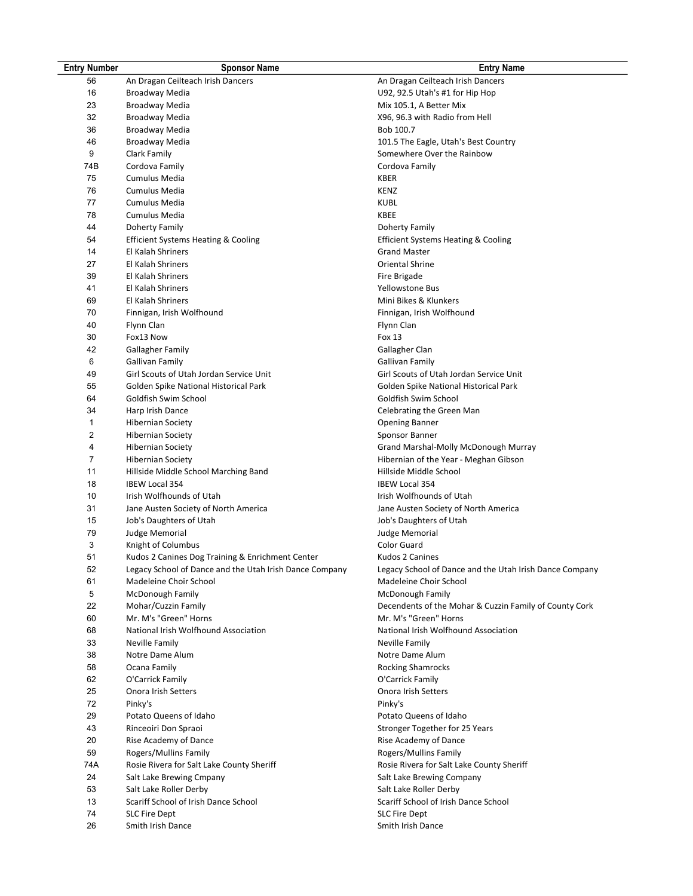| <b>Entry Number</b> | <b>Sponsor Name</b>                                     | <b>Entry Name</b>                                       |
|---------------------|---------------------------------------------------------|---------------------------------------------------------|
| 56                  | An Dragan Ceilteach Irish Dancers                       | An Dragan Ceilteach Irish Dancers                       |
| 16                  | Broadway Media                                          | U92, 92.5 Utah's #1 for Hip Hop                         |
| 23                  | Broadway Media                                          | Mix 105.1, A Better Mix                                 |
| 32                  | Broadway Media                                          | X96, 96.3 with Radio from Hell                          |
| 36                  | Broadway Media                                          | Bob 100.7                                               |
| 46                  | Broadway Media                                          | 101.5 The Eagle, Utah's Best Country                    |
| 9                   | Clark Family                                            | Somewhere Over the Rainbow                              |
| 74B                 | Cordova Family                                          | Cordova Family                                          |
| 75                  | Cumulus Media                                           | KBER                                                    |
| 76                  | Cumulus Media                                           | <b>KENZ</b>                                             |
| 77                  | Cumulus Media                                           | KUBL                                                    |
| 78                  | Cumulus Media                                           | KBEE                                                    |
| 44                  | Doherty Family                                          | Doherty Family                                          |
| 54                  | Efficient Systems Heating & Cooling                     | Efficient Systems Heating & Cooling                     |
| 14                  | El Kalah Shriners                                       | <b>Grand Master</b>                                     |
| 27                  | El Kalah Shriners                                       | <b>Oriental Shrine</b>                                  |
| 39                  | El Kalah Shriners                                       | Fire Brigade                                            |
| 41                  | El Kalah Shriners                                       | Yellowstone Bus                                         |
| 69                  | El Kalah Shriners                                       | Mini Bikes & Klunkers                                   |
| 70                  | Finnigan, Irish Wolfhound                               | Finnigan, Irish Wolfhound                               |
| 40                  | Flynn Clan                                              | Flynn Clan                                              |
| 30                  | Fox13 Now                                               | Fox 13                                                  |
| 42                  | <b>Gallagher Family</b>                                 | Gallagher Clan                                          |
| 6                   | Gallivan Family                                         | <b>Gallivan Family</b>                                  |
| 49                  | Girl Scouts of Utah Jordan Service Unit                 | Girl Scouts of Utah Jordan Service Unit                 |
| 55                  | Golden Spike National Historical Park                   | Golden Spike National Historical Park                   |
| 64                  | Goldfish Swim School                                    | Goldfish Swim School                                    |
| 34                  | Harp Irish Dance                                        | Celebrating the Green Man                               |
| 1                   | <b>Hibernian Society</b>                                | <b>Opening Banner</b>                                   |
| 2                   | <b>Hibernian Society</b>                                | Sponsor Banner                                          |
| 4                   | <b>Hibernian Society</b>                                | Grand Marshal-Molly McDonough Murray                    |
| 7                   | <b>Hibernian Society</b>                                | Hibernian of the Year - Meghan Gibson                   |
| 11                  | Hillside Middle School Marching Band                    | Hillside Middle School                                  |
| 18                  | <b>IBEW Local 354</b>                                   | <b>IBEW Local 354</b>                                   |
| 10                  | Irish Wolfhounds of Utah                                | Irish Wolfhounds of Utah                                |
| 31                  | Jane Austen Society of North America                    | Jane Austen Society of North America                    |
| 15                  | Job's Daughters of Utah                                 | Job's Daughters of Utah                                 |
| 79                  | Judge Memorial                                          | <b>Judge Memorial</b>                                   |
| 3                   | Knight of Columbus                                      | Color Guard                                             |
| 51                  | Kudos 2 Canines Dog Training & Enrichment Center        | <b>Kudos 2 Canines</b>                                  |
| 52                  | Legacy School of Dance and the Utah Irish Dance Company | Legacy School of Dance and the Utah Irish Dance Company |
| 61                  | Madeleine Choir School                                  | Madeleine Choir School                                  |
| 5                   | McDonough Family                                        | McDonough Family                                        |
| 22                  | Mohar/Cuzzin Family                                     | Decendents of the Mohar & Cuzzin Family of County Cork  |
| 60                  | Mr. M's "Green" Horns                                   | Mr. M's "Green" Horns                                   |
| 68                  | National Irish Wolfhound Association                    | National Irish Wolfhound Association                    |
| 33                  | Neville Family                                          | Neville Family                                          |
| 38                  | Notre Dame Alum                                         | Notre Dame Alum                                         |
| 58                  | Ocana Family                                            | <b>Rocking Shamrocks</b>                                |
| 62                  | O'Carrick Family                                        | O'Carrick Family                                        |
| 25                  | Onora Irish Setters                                     | Onora Irish Setters                                     |
| 72                  | Pinky's                                                 | Pinky's                                                 |
| 29                  | Potato Queens of Idaho                                  | Potato Queens of Idaho                                  |
| 43                  | Rinceoiri Don Spraoi                                    | Stronger Together for 25 Years                          |
| 20                  | Rise Academy of Dance                                   | Rise Academy of Dance                                   |
| 59                  | Rogers/Mullins Family                                   | Rogers/Mullins Family                                   |
| 74A                 | Rosie Rivera for Salt Lake County Sheriff               | Rosie Rivera for Salt Lake County Sheriff               |
| 24                  | Salt Lake Brewing Cmpany                                | Salt Lake Brewing Company                               |
| 53                  | Salt Lake Roller Derby                                  | Salt Lake Roller Derby                                  |
| 13                  | Scariff School of Irish Dance School                    | Scariff School of Irish Dance School                    |
| 74                  | <b>SLC Fire Dept</b>                                    | <b>SLC Fire Dept</b>                                    |
| 26                  | Smith Irish Dance                                       | Smith Irish Dance                                       |